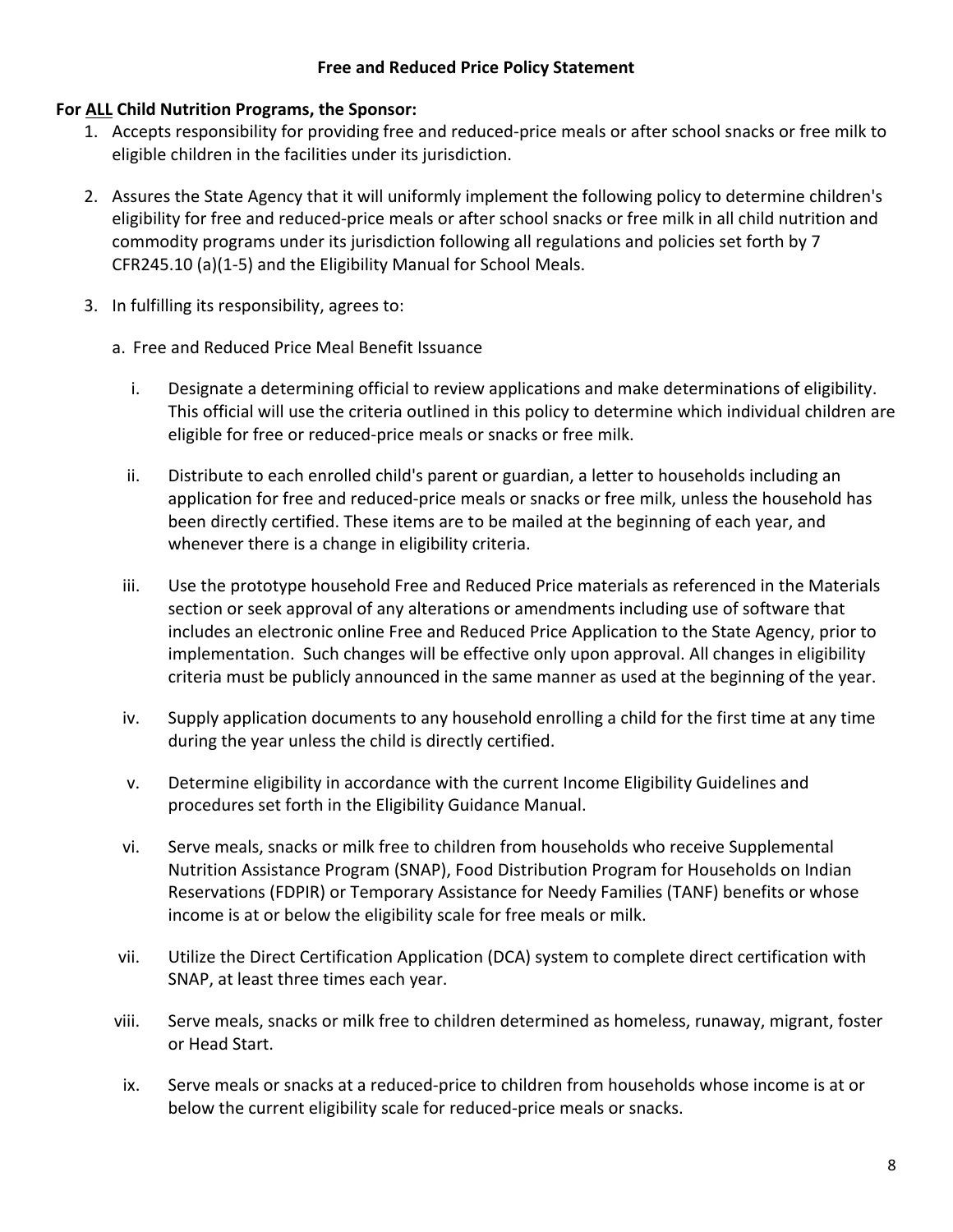## **Free and Reduced Price Policy Statement**

## **For ALL Child Nutrition Programs, the Sponsor:**

- 1. Accepts responsibility for providing free and reduced-price meals or after school snacks or free milk to eligible children in the facilities under its jurisdiction.
- 2. Assures the State Agency that it will uniformly implement the following policy to determine children's eligibility for free and reduced-price meals or after school snacks or free milk in all child nutrition and commodity programs under its jurisdiction following all regulations and policies set forth by 7 CFR245.10 (a)(1-5) and the Eligibility Manual for School Meals.
- 3. In fulfilling its responsibility, agrees to:
	- a. Free and Reduced Price Meal Benefit Issuance
		- i. Designate a determining official to review applications and make determinations of eligibility. This official will use the criteria outlined in this policy to determine which individual children are eligible for free or reduced-price meals or snacks or free milk.
		- ii. Distribute to each enrolled child's parent or guardian, a letter to households including an application for free and reduced-price meals or snacks or free milk, unless the household has been directly certified. These items are to be mailed at the beginning of each year, and whenever there is a change in eligibility criteria.
	- iii. Use the prototype household Free and Reduced Price materials as referenced in the Materials section or seek approval of any alterations or amendments including use of software that includes an electronic online Free and Reduced Price Application to the State Agency, prior to implementation. Such changes will be effective only upon approval. All changes in eligibility criteria must be publicly announced in the same manner as used at the beginning of the year.
	- iv. Supply application documents to any household enrolling a child for the first time at any time during the year unless the child is directly certified.
	- v. Determine eligibility in accordance with the current Income Eligibility Guidelines and procedures set forth in the Eligibility Guidance Manual.
	- vi. Serve meals, snacks or milk free to children from households who receive Supplemental Nutrition Assistance Program (SNAP), Food Distribution Program for Households on Indian Reservations (FDPIR) or Temporary Assistance for Needy Families (TANF) benefits or whose income is at or below the eligibility scale for free meals or milk.
	- vii. Utilize the Direct Certification Application (DCA) system to complete direct certification with SNAP, at least three times each year.
	- viii. Serve meals, snacks or milk free to children determined as homeless, runaway, migrant, foster or Head Start.
	- ix. Serve meals or snacks at a reduced-price to children from households whose income is at or below the current eligibility scale for reduced-price meals or snacks.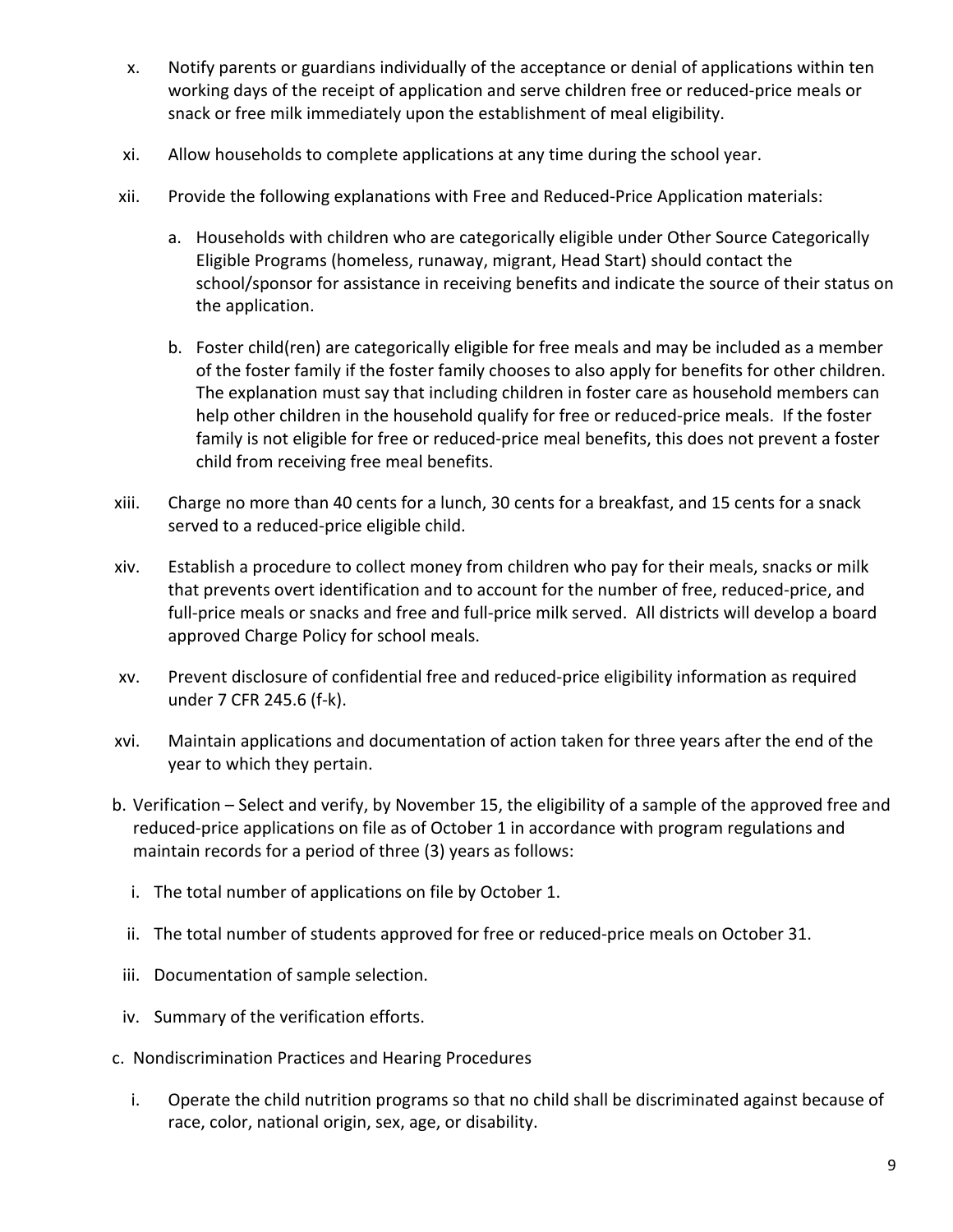- x. Notify parents or guardians individually of the acceptance or denial of applications within ten working days of the receipt of application and serve children free or reduced-price meals or snack or free milk immediately upon the establishment of meal eligibility.
- xi. Allow households to complete applications at any time during the school year.
- xii. Provide the following explanations with Free and Reduced-Price Application materials:
	- a. Households with children who are categorically eligible under Other Source Categorically Eligible Programs (homeless, runaway, migrant, Head Start) should contact the school/sponsor for assistance in receiving benefits and indicate the source of their status on the application.
	- b. Foster child(ren) are categorically eligible for free meals and may be included as a member of the foster family if the foster family chooses to also apply for benefits for other children. The explanation must say that including children in foster care as household members can help other children in the household qualify for free or reduced-price meals. If the foster family is not eligible for free or reduced-price meal benefits, this does not prevent a foster child from receiving free meal benefits.
- xiii. Charge no more than 40 cents for a lunch, 30 cents for a breakfast, and 15 cents for a snack served to a reduced-price eligible child.
- xiv. Establish a procedure to collect money from children who pay for their meals, snacks or milk that prevents overt identification and to account for the number of free, reduced-price, and full-price meals or snacks and free and full-price milk served. All districts will develop a board approved Charge Policy for school meals.
- xv. Prevent disclosure of confidential free and reduced-price eligibility information as required under 7 CFR 245.6 (f-k).
- xvi. Maintain applications and documentation of action taken for three years after the end of the year to which they pertain.
- b. Verification Select and verify, by November 15, the eligibility of a sample of the approved free and reduced-price applications on file as of October 1 in accordance with program regulations and maintain records for a period of three (3) years as follows:
	- i. The total number of applications on file by October 1.
	- ii. The total number of students approved for free or reduced-price meals on October 31.
- iii. Documentation of sample selection.
- iv. Summary of the verification efforts.
- c. Nondiscrimination Practices and Hearing Procedures
	- i. Operate the child nutrition programs so that no child shall be discriminated against because of race, color, national origin, sex, age, or disability.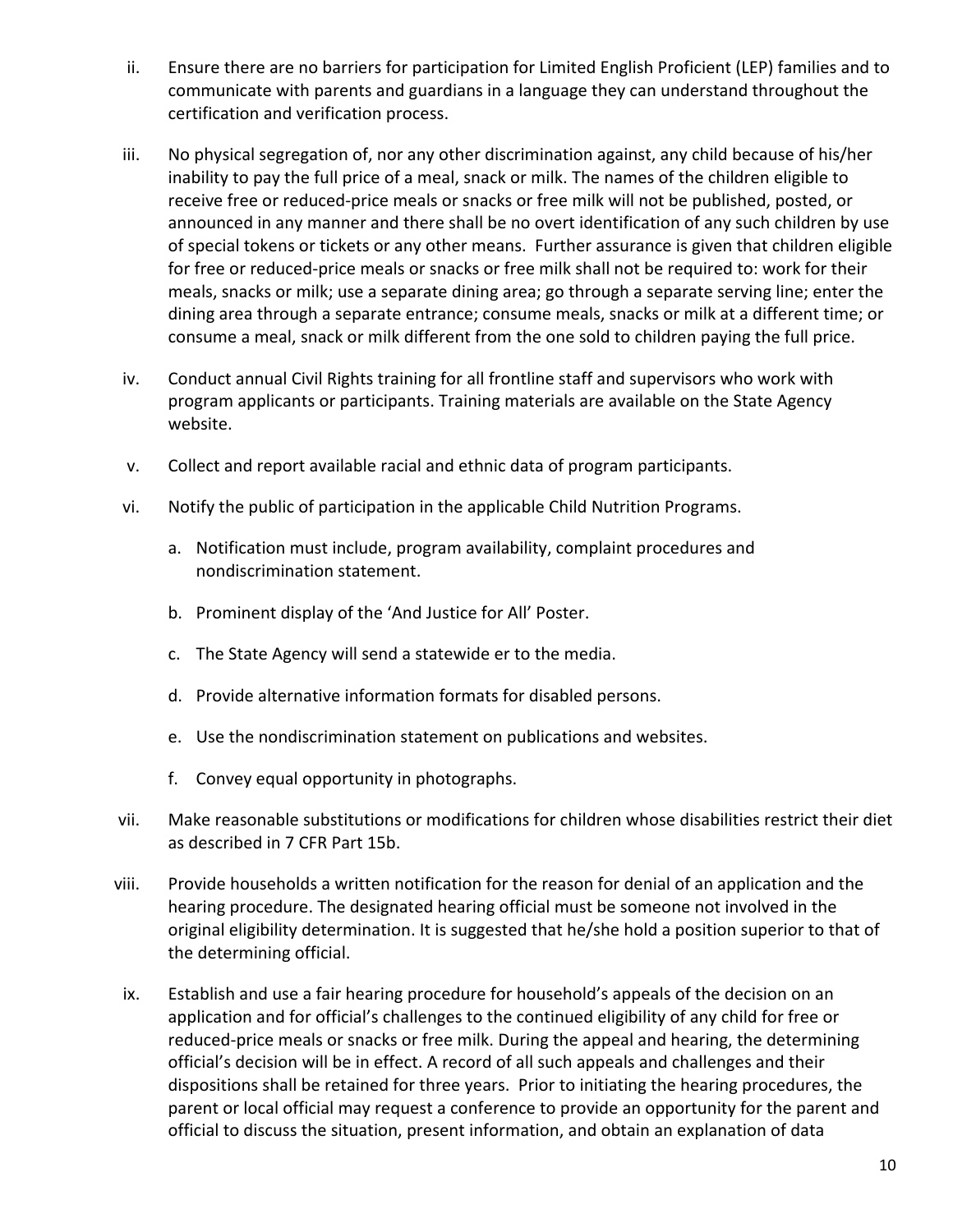- ii. Ensure there are no barriers for participation for Limited English Proficient (LEP) families and to communicate with parents and guardians in a language they can understand throughout the certification and verification process.
- iii. No physical segregation of, nor any other discrimination against, any child because of his/her inability to pay the full price of a meal, snack or milk. The names of the children eligible to receive free or reduced-price meals or snacks or free milk will not be published, posted, or announced in any manner and there shall be no overt identification of any such children by use of special tokens or tickets or any other means. Further assurance is given that children eligible for free or reduced-price meals or snacks or free milk shall not be required to: work for their meals, snacks or milk; use a separate dining area; go through a separate serving line; enter the dining area through a separate entrance; consume meals, snacks or milk at a different time; or consume a meal, snack or milk different from the one sold to children paying the full price.
- iv. Conduct annual Civil Rights training for all frontline staff and supervisors who work with program applicants or participants. Training materials are available on the State Agency website.
- v. Collect and report available racial and ethnic data of program participants.
- vi. Notify the public of participation in the applicable Child Nutrition Programs.
	- a. Notification must include, program availability, complaint procedures and nondiscrimination statement.
	- b. Prominent display of the 'And Justice for All' Poster.
	- c. The State Agency will send a statewide er to the media.
	- d. Provide alternative information formats for disabled persons.
	- e. Use the nondiscrimination statement on publications and websites.
	- f. Convey equal opportunity in photographs.
- vii. Make reasonable substitutions or modifications for children whose disabilities restrict their diet as described in 7 CFR Part 15b.
- viii. Provide households a written notification for the reason for denial of an application and the hearing procedure. The designated hearing official must be someone not involved in the original eligibility determination. It is suggested that he/she hold a position superior to that of the determining official.
- ix. Establish and use a fair hearing procedure for household's appeals of the decision on an application and for official's challenges to the continued eligibility of any child for free or reduced-price meals or snacks or free milk. During the appeal and hearing, the determining official's decision will be in effect. A record of all such appeals and challenges and their dispositions shall be retained for three years. Prior to initiating the hearing procedures, the parent or local official may request a conference to provide an opportunity for the parent and official to discuss the situation, present information, and obtain an explanation of data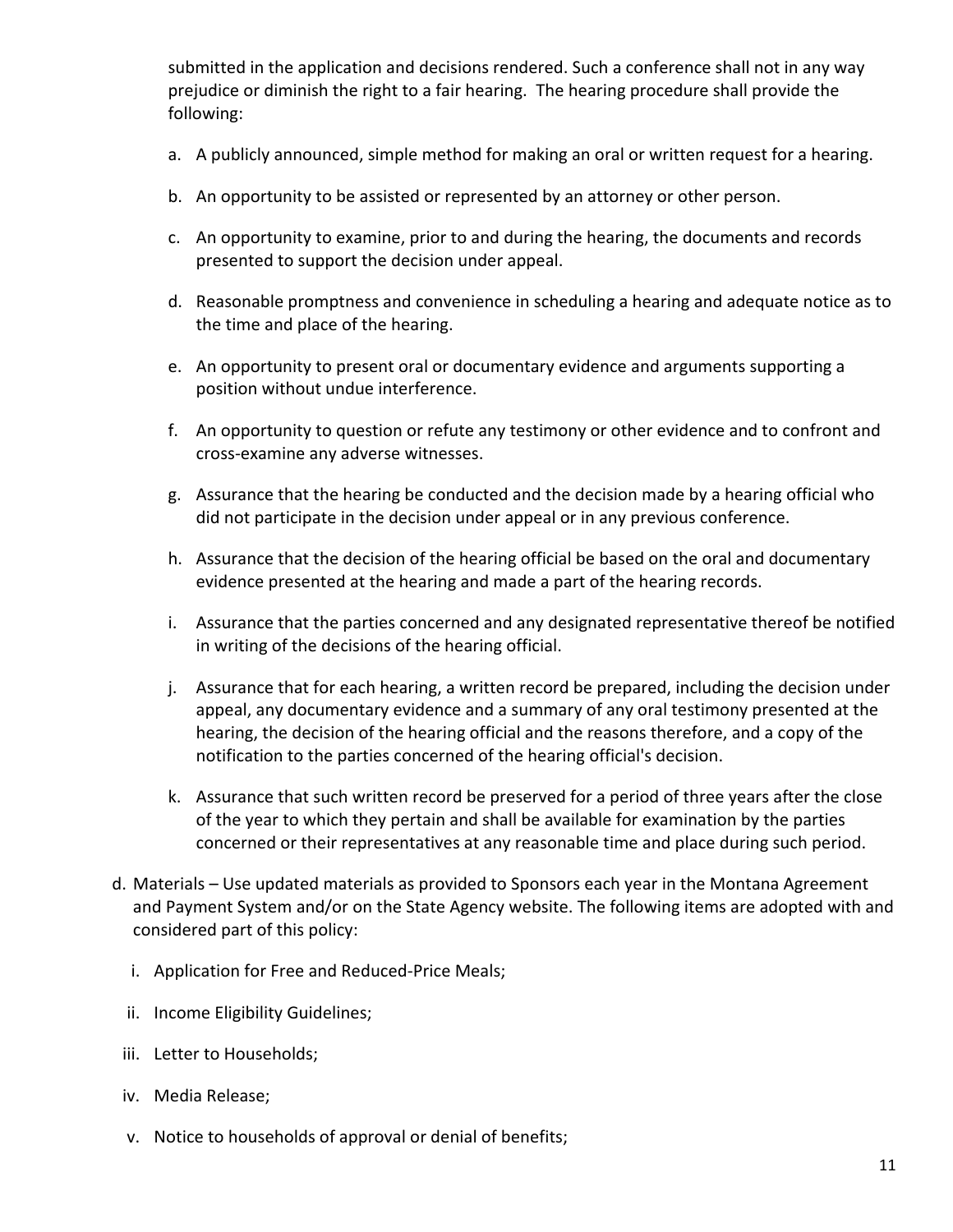submitted in the application and decisions rendered. Such a conference shall not in any way prejudice or diminish the right to a fair hearing. The hearing procedure shall provide the following:

- a. A publicly announced, simple method for making an oral or written request for a hearing.
- b. An opportunity to be assisted or represented by an attorney or other person.
- c. An opportunity to examine, prior to and during the hearing, the documents and records presented to support the decision under appeal.
- d. Reasonable promptness and convenience in scheduling a hearing and adequate notice as to the time and place of the hearing.
- e. An opportunity to present oral or documentary evidence and arguments supporting a position without undue interference.
- f. An opportunity to question or refute any testimony or other evidence and to confront and cross-examine any adverse witnesses.
- g. Assurance that the hearing be conducted and the decision made by a hearing official who did not participate in the decision under appeal or in any previous conference.
- h. Assurance that the decision of the hearing official be based on the oral and documentary evidence presented at the hearing and made a part of the hearing records.
- i. Assurance that the parties concerned and any designated representative thereof be notified in writing of the decisions of the hearing official.
- j. Assurance that for each hearing, a written record be prepared, including the decision under appeal, any documentary evidence and a summary of any oral testimony presented at the hearing, the decision of the hearing official and the reasons therefore, and a copy of the notification to the parties concerned of the hearing official's decision.
- k. Assurance that such written record be preserved for a period of three years after the close of the year to which they pertain and shall be available for examination by the parties concerned or their representatives at any reasonable time and place during such period.
- d. Materials Use updated materials as provided to Sponsors each year in the Montana Agreement and Payment System and/or on the State Agency website. The following items are adopted with and considered part of this policy:
	- i. Application for Free and Reduced-Price Meals;
	- ii. Income Eligibility Guidelines;
- iii. Letter to Households;
- iv. Media Release;
- v. Notice to households of approval or denial of benefits;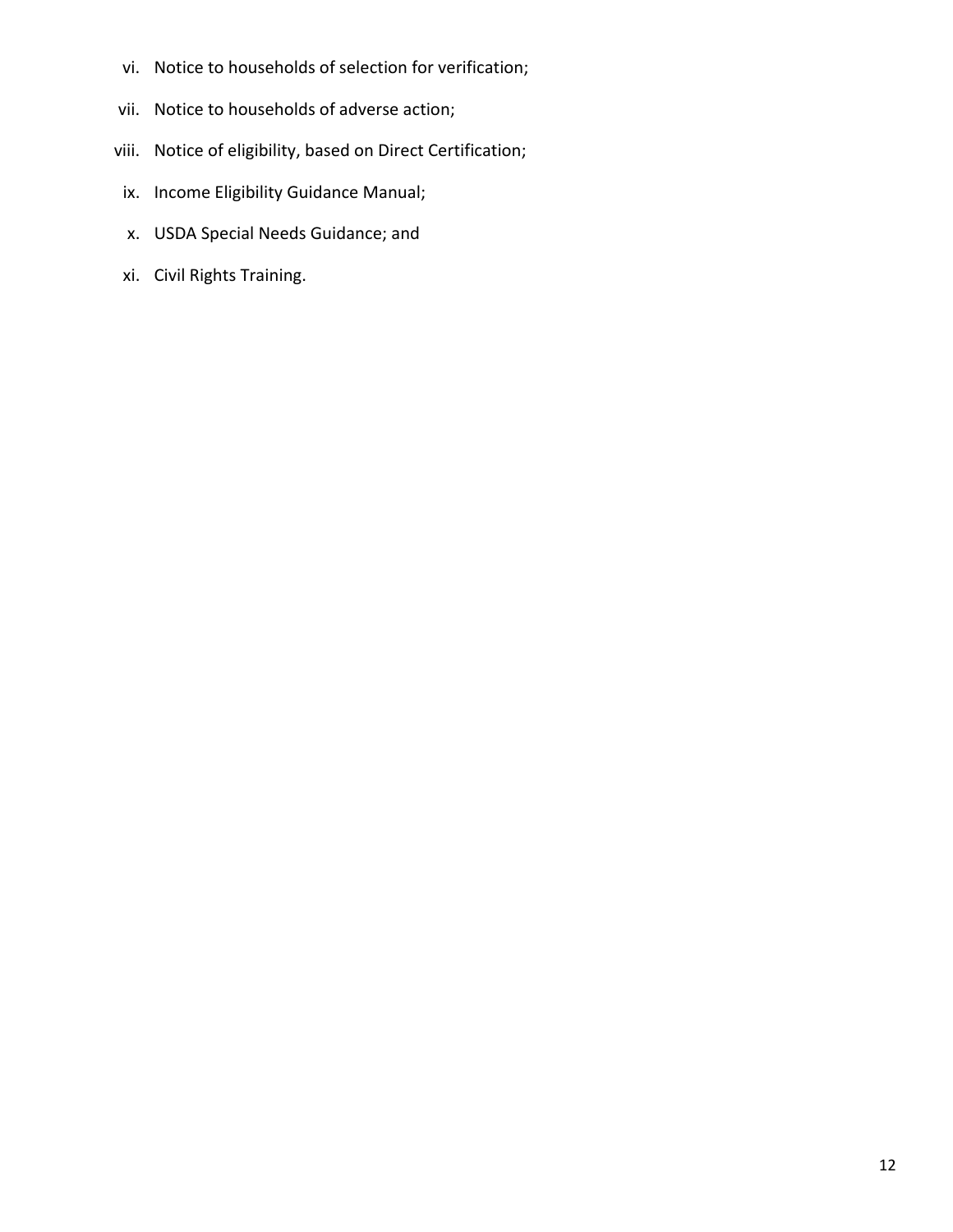- vi. Notice to households of selection for verification;
- vii. Notice to households of adverse action;
- viii. Notice of eligibility, based on Direct Certification;
- ix. Income Eligibility Guidance Manual;
- x. USDA Special Needs Guidance; and
- xi. Civil Rights Training.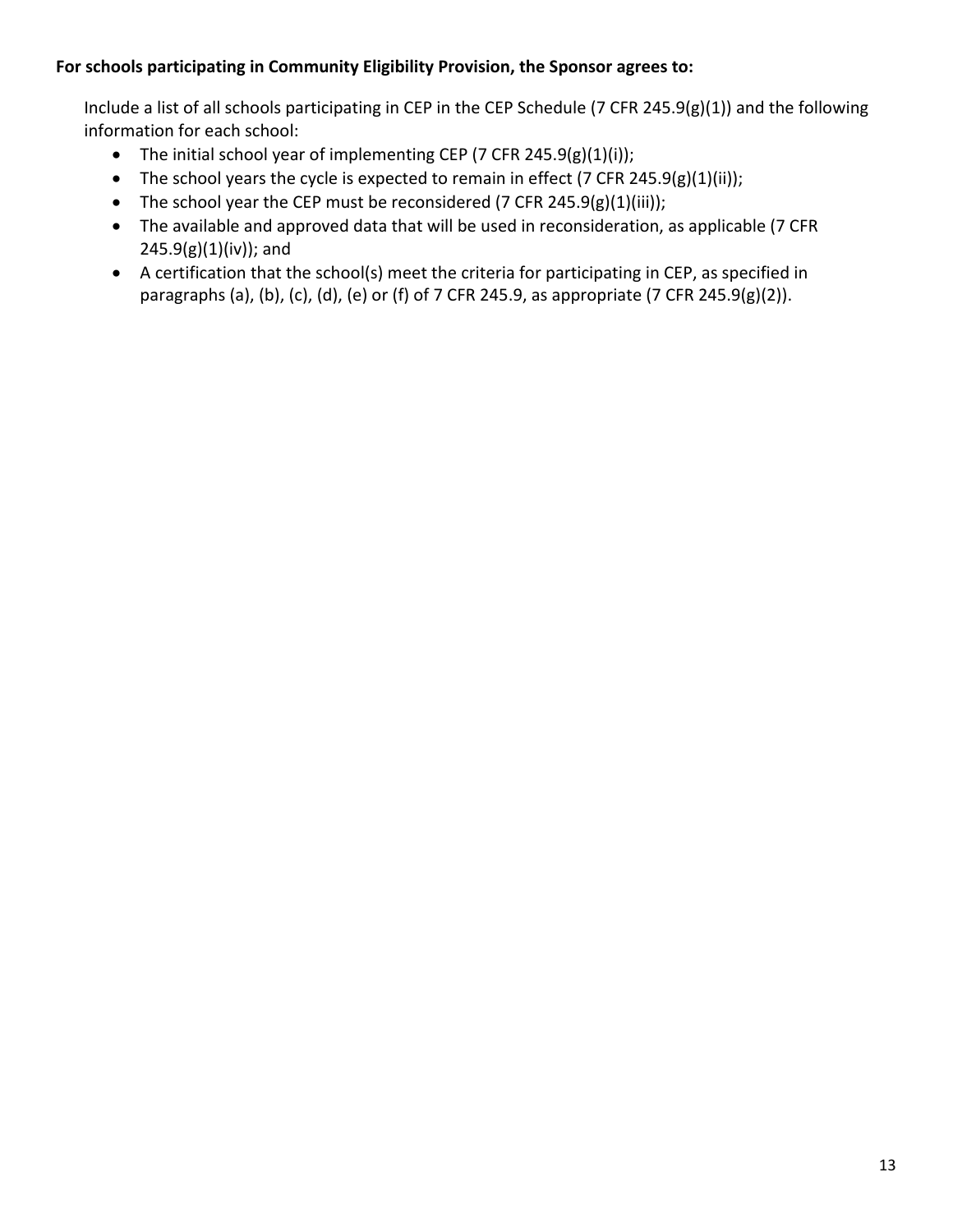## **For schools participating in Community Eligibility Provision, the Sponsor agrees to:**

Include a list of all schools participating in CEP in the CEP Schedule (7 CFR 245.9(g)(1)) and the following information for each school:

- The initial school year of implementing CEP (7 CFR 245.9(g)(1)(i));
- The school years the cycle is expected to remain in effect (7 CFR 245.9(g)(1)(ii));
- The school year the CEP must be reconsidered (7 CFR 245.9(g)(1)(iii));
- The available and approved data that will be used in reconsideration, as applicable (7 CFR  $245.9(g)(1)(iv)$ ; and
- A certification that the school(s) meet the criteria for participating in CEP, as specified in paragraphs (a), (b), (c), (d), (e) or (f) of 7 CFR 245.9, as appropriate (7 CFR 245.9(g)(2)).